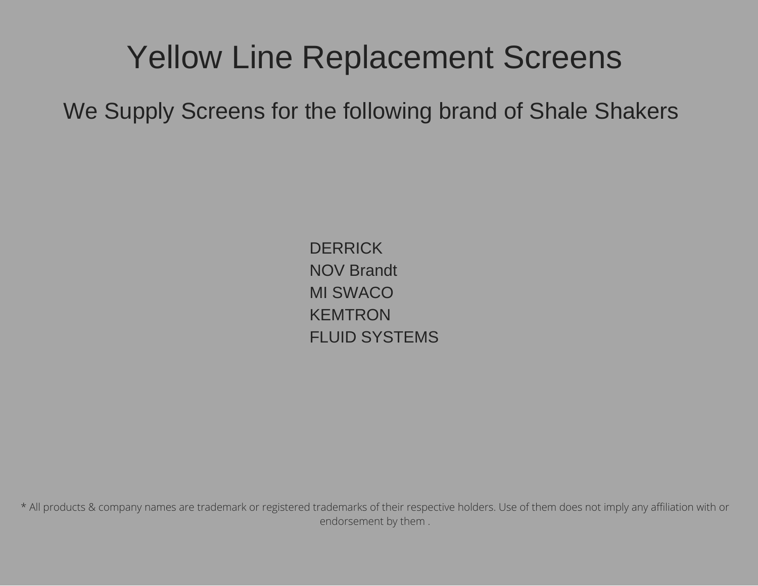# Yellow Line Replacement Screens

We Supply Screens for the following brand of Shale Shakers

**DERRICK** NOV Brandt MI SWACO KEMTRON FLUID SYSTEMS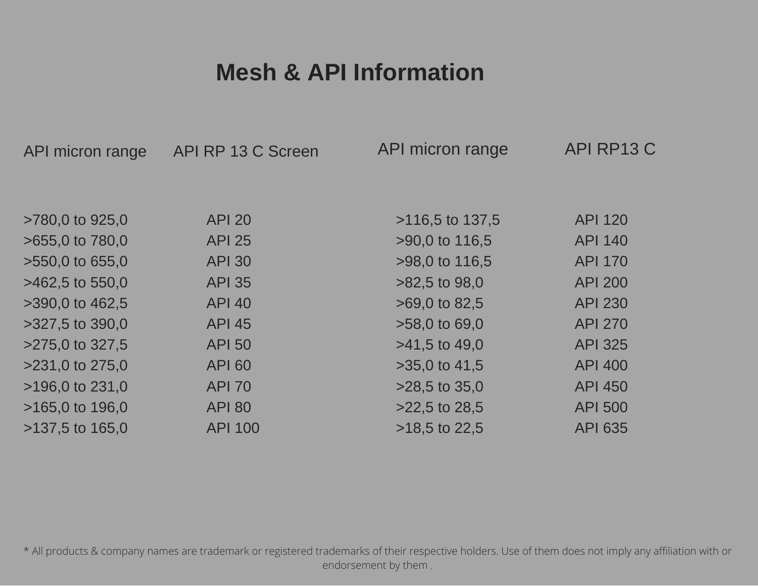### **Mesh & API Information**

| API micron range    | API RP 13 C Screen | API micron range  | API RP13 C     |
|---------------------|--------------------|-------------------|----------------|
|                     |                    |                   |                |
|                     |                    |                   |                |
| >780,0 to 925,0     | <b>API 20</b>      | $>116,5$ to 137,5 | <b>API 120</b> |
| $>655.0$ to $780.0$ | <b>API 25</b>      | >90,0 to 116,5    | <b>API 140</b> |
| >550,0 to 655,0     | <b>API 30</b>      | >98,0 to 116,5    | <b>API 170</b> |
| $>462,5$ to 550,0   | <b>API 35</b>      | $>82.5$ to 98.0   | <b>API 200</b> |
| >390,0 to 462,5     | <b>API 40</b>      | $>69,0$ to 82,5   | <b>API 230</b> |
| $>327.5$ to 390.0   | <b>API 45</b>      | $>58,0$ to 69,0   | <b>API 270</b> |
| >275,0 to 327,5     | <b>API 50</b>      | $>41.5$ to 49.0   | <b>API 325</b> |
| >231,0 to 275,0     | <b>API 60</b>      | $>35.0$ to 41.5   | <b>API 400</b> |
| $>196.0$ to 231.0   | <b>API 70</b>      | $>28.5$ to 35.0   | <b>API 450</b> |
| $>165.0$ to 196.0   | <b>API 80</b>      | $>22.5$ to 28.5   | <b>API 500</b> |
| $>137.5$ to 165.0   | <b>API 100</b>     | $>18.5$ to 22.5   | <b>API 635</b> |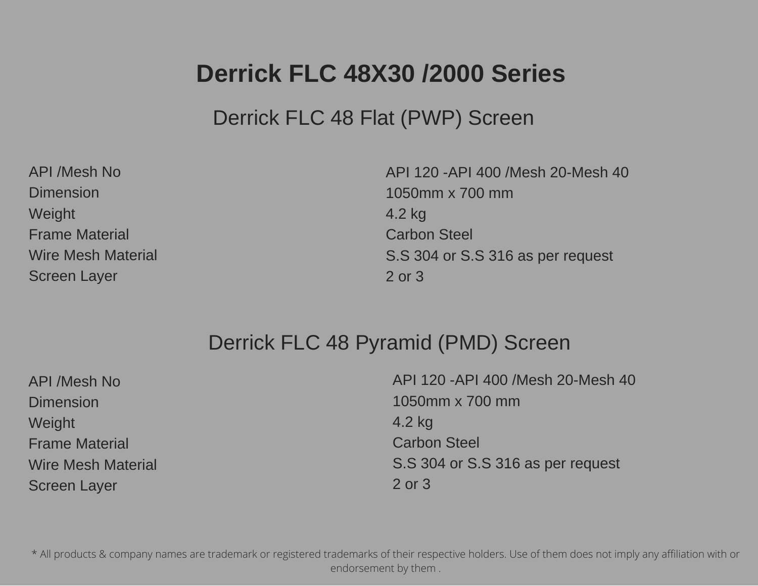### **Derrick FLC 48X30 /2000 Series**

Derrick FLC 48 Flat (PWP) Screen

| <b>API /Mesh No</b>       |
|---------------------------|
| <b>Dimension</b>          |
| Weight                    |
| <b>Frame Material</b>     |
| <b>Wire Mesh Material</b> |
| <b>Screen Layer</b>       |

API 120 -API 400 /Mesh 20-Mesh 40 1050mm x 700 mm 4.2 kg Carbon Steel S.S 304 or S.S 316 as per request 2 or 3

#### Derrick FLC 48 Pyramid (PMD) Screen

| <b>API /Mesh No</b>       | API 120 - API 400 / Mesh 20- Mesh 40 |
|---------------------------|--------------------------------------|
| <b>Dimension</b>          | 1050mm x 700 mm                      |
| <b>Weight</b>             | 4.2 kg                               |
| <b>Frame Material</b>     | <b>Carbon Steel</b>                  |
| <b>Wire Mesh Material</b> | S.S 304 or S.S 316 as per request    |
| <b>Screen Layer</b>       | 2 or 3                               |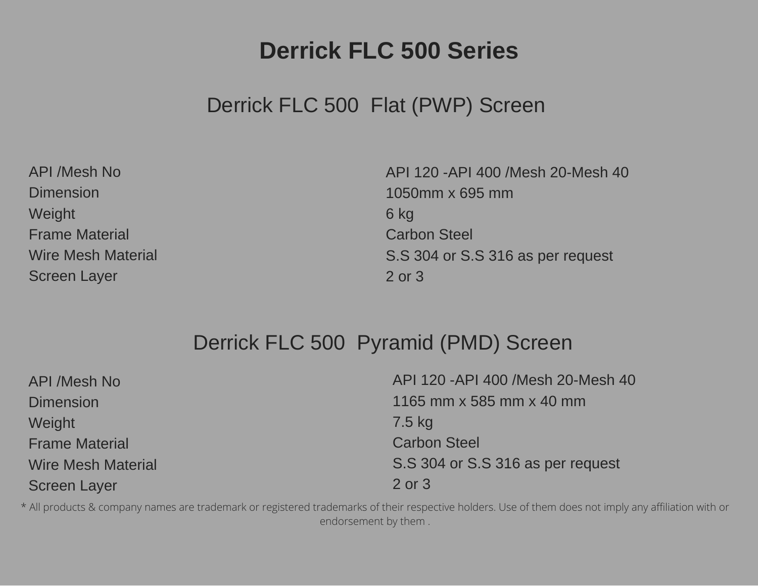### **Derrick FLC 500 Series**

### Derrick FLC 500 Flat (PWP) Screen

| <b>API /Mesh No</b>       |
|---------------------------|
| <b>Dimension</b>          |
| Weight                    |
| <b>Frame Material</b>     |
| <b>Wire Mesh Material</b> |
| <b>Screen Layer</b>       |

API 120 -API 400 /Mesh 20-Mesh 40 1050mm x 695 mm 6 kg Carbon Steel S.S 304 or S.S 316 as per request 2 or 3

### Derrick FLC 500 Pyramid (PMD) Screen

| <b>API /Mesh No</b>       | API 120 - API 400 / Mesh 20- Mesh 40 |
|---------------------------|--------------------------------------|
| <b>Dimension</b>          | 1165 mm x 585 mm x 40 mm             |
| <b>Weight</b>             | 7.5 kg                               |
| <b>Frame Material</b>     | <b>Carbon Steel</b>                  |
| <b>Wire Mesh Material</b> | S.S 304 or S.S 316 as per request    |
| <b>Screen Layer</b>       | 2 or 3                               |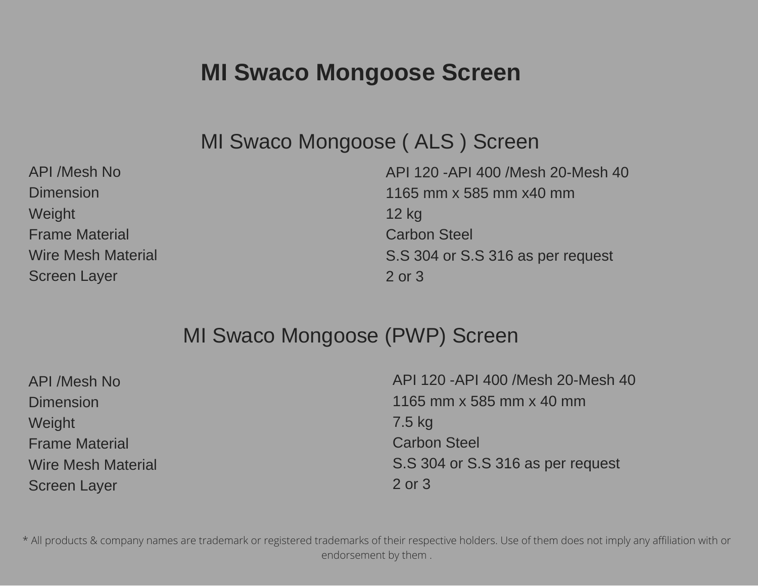### **MI Swaco Mongoose Screen**

MI Swaco Mongoose ( ALS ) Screen

API /Mesh No Dimension **Weight** Frame Material Wire Mesh Material Screen Layer API 120 -API 400 /Mesh 20-Mesh 40 1165 mm x 585 mm x40 mm 12 kg Carbon Steel S.S 304 or S.S 316 as per request 2 or 3

#### MI Swaco Mongoose (PWP) Screen

| <b>API /Mesh No</b>       | API 120 - API 400 / Mesh 20- Mesh 40 |
|---------------------------|--------------------------------------|
| <b>Dimension</b>          | 1165 mm x 585 mm x 40 mm             |
| Weight                    | 7.5 kg                               |
| <b>Frame Material</b>     | <b>Carbon Steel</b>                  |
| <b>Wire Mesh Material</b> | S.S 304 or S.S 316 as per request    |
| <b>Screen Layer</b>       | 2 or 3                               |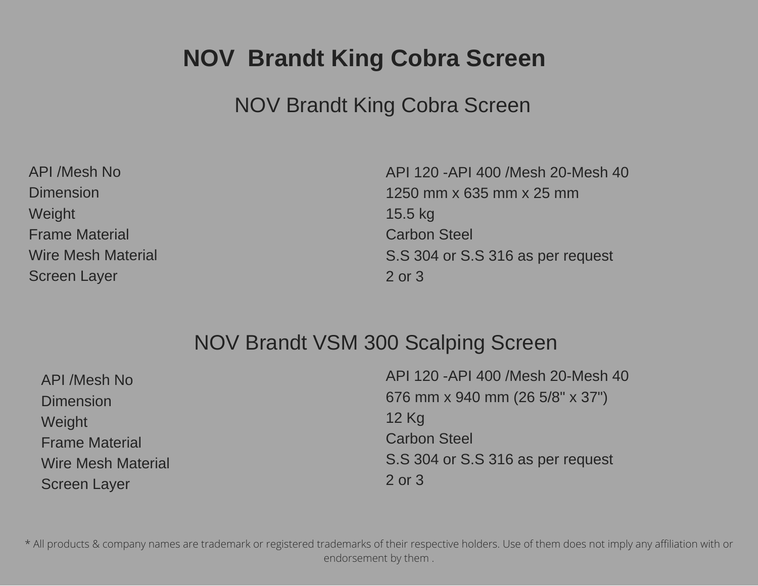## **NOV Brandt King Cobra Screen**

### NOV Brandt King Cobra Screen

| <b>API /Mesh No</b>       |
|---------------------------|
| <b>Dimension</b>          |
| Weight                    |
| <b>Frame Material</b>     |
| <b>Wire Mesh Material</b> |
| <b>Screen Layer</b>       |

API 120 -API 400 /Mesh 20-Mesh 40 1250 mm x 635 mm x 25 mm 15.5 kg Carbon Steel S.S 304 or S.S 316 as per request 2 or 3

### NOV Brandt VSM 300 Scalping Screen

| <b>API /Mesh No</b>       | API 120 - API 400 / Mesh 20- Mesh 40 |
|---------------------------|--------------------------------------|
| <b>Dimension</b>          | 676 mm x 940 mm (26 5/8" x 37")      |
| <b>Weight</b>             | $12$ Kg                              |
| <b>Frame Material</b>     | <b>Carbon Steel</b>                  |
| <b>Wire Mesh Material</b> | S.S 304 or S.S 316 as per request    |
| <b>Screen Layer</b>       | 2 or 3                               |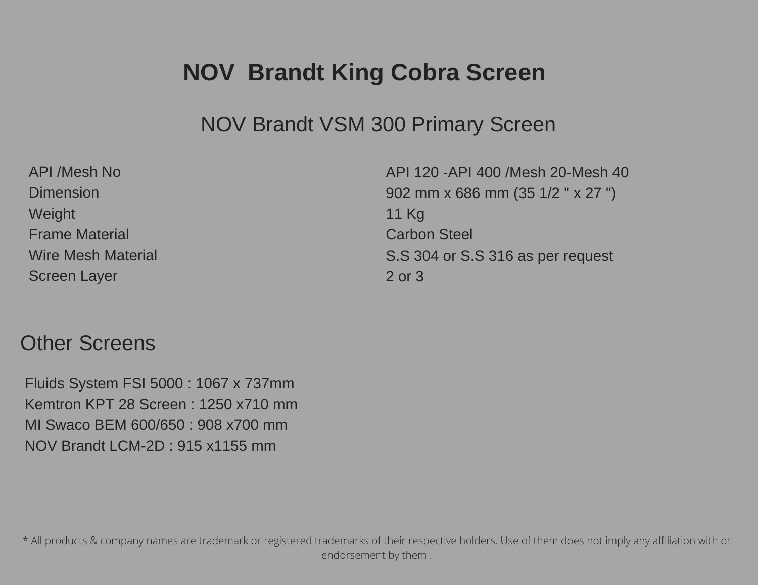### **NOV Brandt King Cobra Screen**

#### NOV Brandt VSM 300 Primary Screen

| <b>API /Mesh No</b>       |
|---------------------------|
| <b>Dimension</b>          |
| Weight                    |
| <b>Frame Material</b>     |
| <b>Wire Mesh Material</b> |
| <b>Screen Layer</b>       |

API 120 -API 400 /Mesh 20-Mesh 40 902 mm x 686 mm (35 1/2 " x 27 ") 11 Kg Carbon Steel S.S 304 or S.S 316 as per request 2 or 3

#### Other Screens

Fluids System FSI 5000 : 1067 x 737mm Kemtron KPT 28 Screen : 1250 x710 mm MI Swaco BEM 600/650 : 908 x700 mm NOV Brandt LCM-2D : 915 x1155 mm